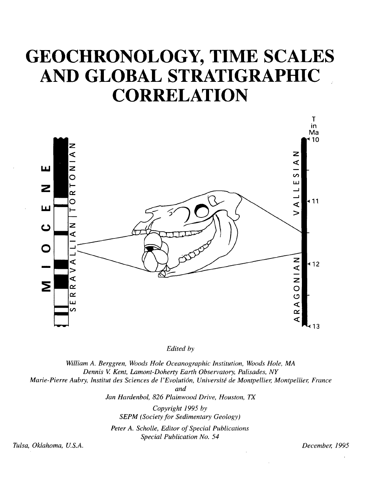## **GEOCHRONOLOGY, TIME SCALES AND GLOBAL STRATIGRAPHIC CORRELATION**



*Edited by*

*William A. Berggren, Woods Hole Oceanographic Institution, Woods Hole, MA Dennis V Kent, Lamont-Doherty Earth Observatory, Palisades, NY Marie-Pierre Aubry, Institut des Sciences de I 'Evolution, Universite de Montpellier, Montpellier, France and Jan Hardenbol, 826 Plainwood Drive, Houston, TX Copyright 1995 by SEPM (Society for Sedimentary Geology) Peter A. Scholle, Editor of Special Publications Special Publication No. 54 Tulsa, Oklahoma, U.S.A. December, 1995*